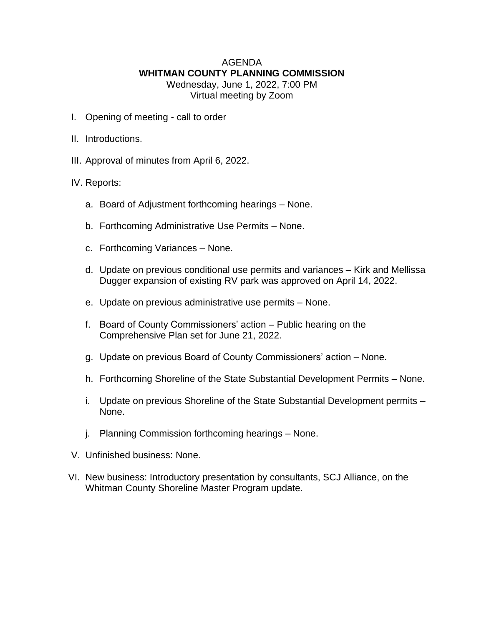## AGENDA **WHITMAN COUNTY PLANNING COMMISSION** Wednesday, June 1, 2022, 7:00 PM

Virtual meeting by Zoom

- I. Opening of meeting call to order
- II. Introductions.
- III. Approval of minutes from April 6, 2022.
- IV. Reports:
	- a. Board of Adjustment forthcoming hearings None.
	- b. Forthcoming Administrative Use Permits None.
	- c. Forthcoming Variances None.
	- d. Update on previous conditional use permits and variances Kirk and Mellissa Dugger expansion of existing RV park was approved on April 14, 2022.
	- e. Update on previous administrative use permits None.
	- f. Board of County Commissioners' action Public hearing on the Comprehensive Plan set for June 21, 2022.
	- g. Update on previous Board of County Commissioners' action None.
	- h. Forthcoming Shoreline of the State Substantial Development Permits None.
	- i. Update on previous Shoreline of the State Substantial Development permits None.
	- j. Planning Commission forthcoming hearings None.
- V. Unfinished business: None.
- VI. New business: Introductory presentation by consultants, SCJ Alliance, on the Whitman County Shoreline Master Program update.